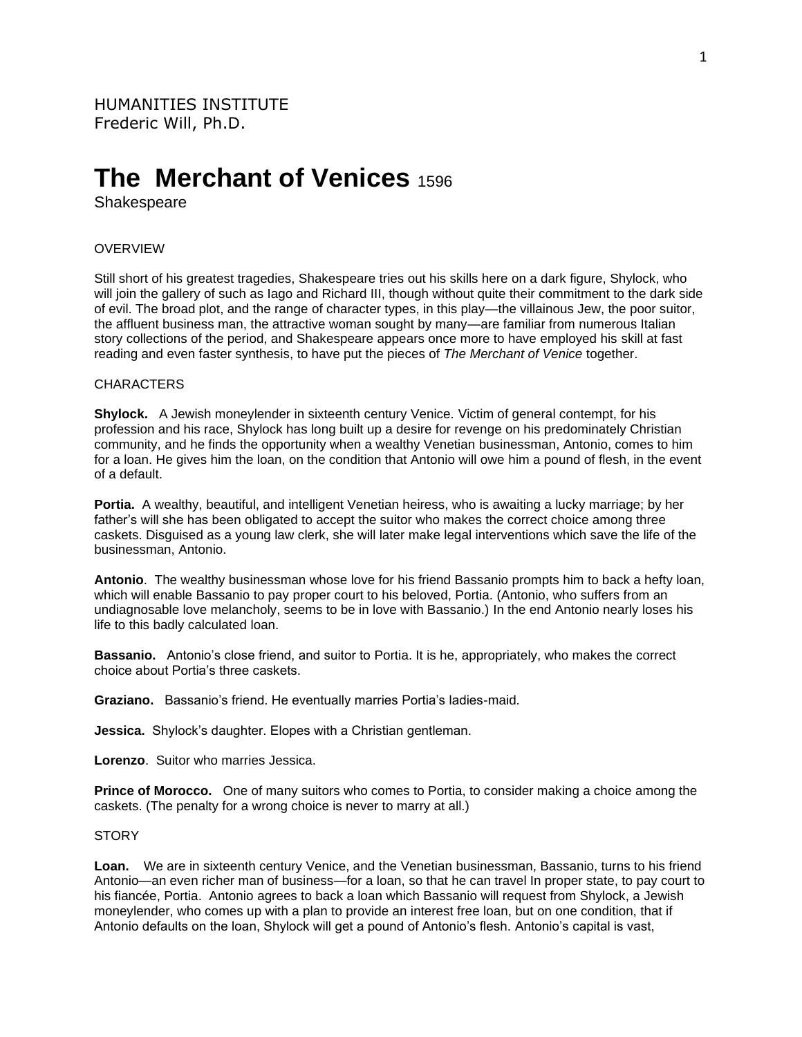# **The Merchant of Venices** <sup>1596</sup>

Shakespeare

## OVERVIEW

Still short of his greatest tragedies, Shakespeare tries out his skills here on a dark figure, Shylock, who will join the gallery of such as Iago and Richard III, though without quite their commitment to the dark side of evil. The broad plot, and the range of character types, in this play—the villainous Jew, the poor suitor, the affluent business man, the attractive woman sought by many—are familiar from numerous Italian story collections of the period, and Shakespeare appears once more to have employed his skill at fast reading and even faster synthesis, to have put the pieces of *The Merchant of Venice* together.

## CHARACTERS

**Shylock.** A Jewish moneylender in sixteenth century Venice. Victim of general contempt, for his profession and his race, Shylock has long built up a desire for revenge on his predominately Christian community, and he finds the opportunity when a wealthy Venetian businessman, Antonio, comes to him for a loan. He gives him the loan, on the condition that Antonio will owe him a pound of flesh, in the event of a default.

**Portia.** A wealthy, beautiful, and intelligent Venetian heiress, who is awaiting a lucky marriage; by her father's will she has been obligated to accept the suitor who makes the correct choice among three caskets. Disguised as a young law clerk, she will later make legal interventions which save the life of the businessman, Antonio.

**Antonio**. The wealthy businessman whose love for his friend Bassanio prompts him to back a hefty loan, which will enable Bassanio to pay proper court to his beloved, Portia. (Antonio, who suffers from an undiagnosable love melancholy, seems to be in love with Bassanio.) In the end Antonio nearly loses his life to this badly calculated loan.

**Bassanio.** Antonio's close friend, and suitor to Portia. It is he, appropriately, who makes the correct choice about Portia's three caskets.

**Graziano.** Bassanio's friend. He eventually marries Portia's ladies-maid.

**Jessica.** Shylock's daughter. Elopes with a Christian gentleman.

**Lorenzo**. Suitor who marries Jessica.

**Prince of Morocco.** One of many suitors who comes to Portia, to consider making a choice among the caskets. (The penalty for a wrong choice is never to marry at all.)

# **STORY**

Loan. We are in sixteenth century Venice, and the Venetian businessman, Bassanio, turns to his friend Antonio—an even richer man of business—for a loan, so that he can travel In proper state, to pay court to his fiancée, Portia. Antonio agrees to back a loan which Bassanio will request from Shylock, a Jewish moneylender, who comes up with a plan to provide an interest free loan, but on one condition, that if Antonio defaults on the loan, Shylock will get a pound of Antonio's flesh. Antonio's capital is vast,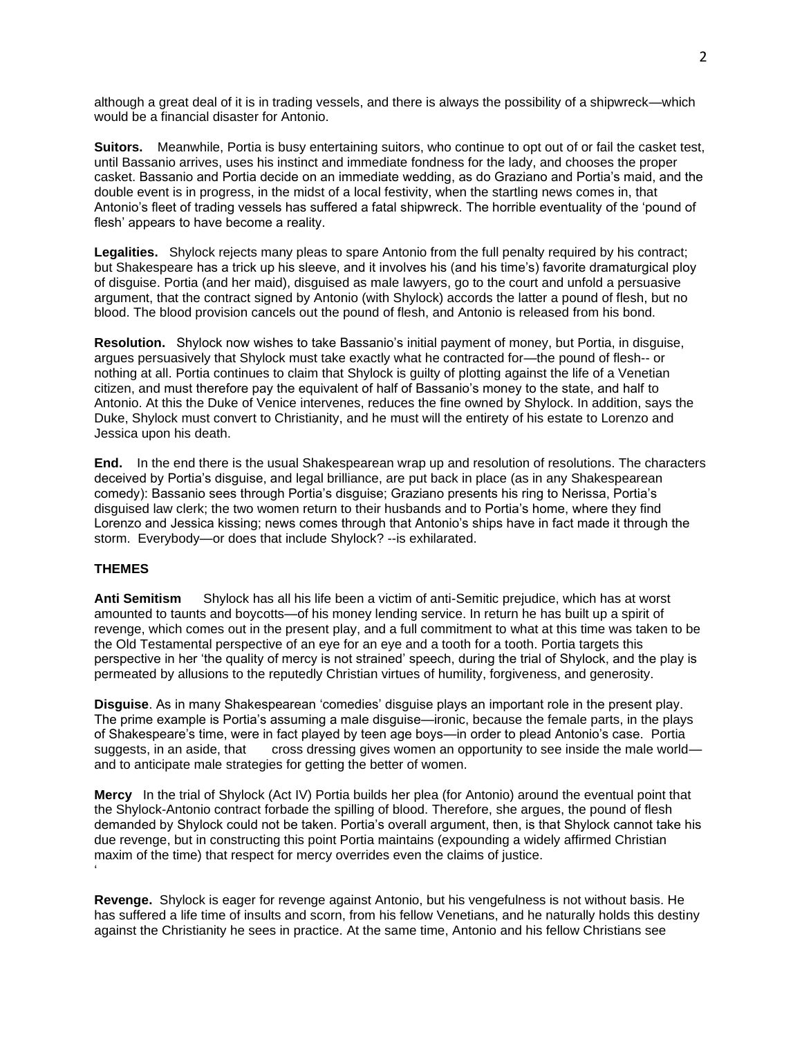although a great deal of it is in trading vessels, and there is always the possibility of a shipwreck—which would be a financial disaster for Antonio.

**Suitors.** Meanwhile, Portia is busy entertaining suitors, who continue to opt out of or fail the casket test, until Bassanio arrives, uses his instinct and immediate fondness for the lady, and chooses the proper casket. Bassanio and Portia decide on an immediate wedding, as do Graziano and Portia's maid, and the double event is in progress, in the midst of a local festivity, when the startling news comes in, that Antonio's fleet of trading vessels has suffered a fatal shipwreck. The horrible eventuality of the 'pound of flesh' appears to have become a reality.

**Legalities.** Shylock rejects many pleas to spare Antonio from the full penalty required by his contract; but Shakespeare has a trick up his sleeve, and it involves his (and his time's) favorite dramaturgical ploy of disguise. Portia (and her maid), disguised as male lawyers, go to the court and unfold a persuasive argument, that the contract signed by Antonio (with Shylock) accords the latter a pound of flesh, but no blood. The blood provision cancels out the pound of flesh, and Antonio is released from his bond.

**Resolution.** Shylock now wishes to take Bassanio's initial payment of money, but Portia, in disguise, argues persuasively that Shylock must take exactly what he contracted for—the pound of flesh-- or nothing at all. Portia continues to claim that Shylock is guilty of plotting against the life of a Venetian citizen, and must therefore pay the equivalent of half of Bassanio's money to the state, and half to Antonio. At this the Duke of Venice intervenes, reduces the fine owned by Shylock. In addition, says the Duke, Shylock must convert to Christianity, and he must will the entirety of his estate to Lorenzo and Jessica upon his death.

**End.** In the end there is the usual Shakespearean wrap up and resolution of resolutions. The characters deceived by Portia's disguise, and legal brilliance, are put back in place (as in any Shakespearean comedy): Bassanio sees through Portia's disguise; Graziano presents his ring to Nerissa, Portia's disguised law clerk; the two women return to their husbands and to Portia's home, where they find Lorenzo and Jessica kissing; news comes through that Antonio's ships have in fact made it through the storm. Everybody—or does that include Shylock? --is exhilarated.

# **THEMES**

**Anti Semitism** Shylock has all his life been a victim of anti-Semitic prejudice, which has at worst amounted to taunts and boycotts—of his money lending service. In return he has built up a spirit of revenge, which comes out in the present play, and a full commitment to what at this time was taken to be the Old Testamental perspective of an eye for an eye and a tooth for a tooth. Portia targets this perspective in her 'the quality of mercy is not strained' speech, during the trial of Shylock, and the play is permeated by allusions to the reputedly Christian virtues of humility, forgiveness, and generosity.

**Disguise**. As in many Shakespearean 'comedies' disguise plays an important role in the present play. The prime example is Portia's assuming a male disguise—ironic, because the female parts, in the plays of Shakespeare's time, were in fact played by teen age boys—in order to plead Antonio's case. Portia suggests, in an aside, that cross dressing gives women an opportunity to see inside the male world and to anticipate male strategies for getting the better of women.

**Mercy** In the trial of Shylock (Act IV) Portia builds her plea (for Antonio) around the eventual point that the Shylock-Antonio contract forbade the spilling of blood. Therefore, she argues, the pound of flesh demanded by Shylock could not be taken. Portia's overall argument, then, is that Shylock cannot take his due revenge, but in constructing this point Portia maintains (expounding a widely affirmed Christian maxim of the time) that respect for mercy overrides even the claims of justice. '

**Revenge.** Shylock is eager for revenge against Antonio, but his vengefulness is not without basis. He has suffered a life time of insults and scorn, from his fellow Venetians, and he naturally holds this destiny against the Christianity he sees in practice. At the same time, Antonio and his fellow Christians see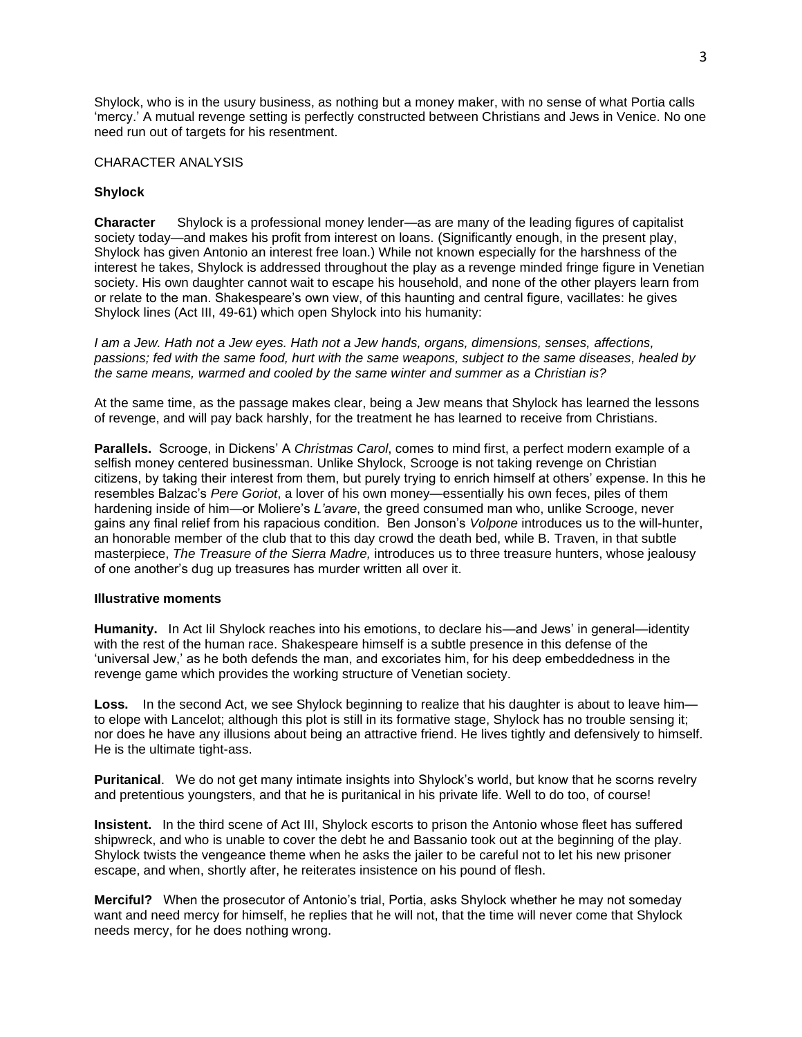Shylock, who is in the usury business, as nothing but a money maker, with no sense of what Portia calls 'mercy.' A mutual revenge setting is perfectly constructed between Christians and Jews in Venice. No one need run out of targets for his resentment.

## CHARACTER ANALYSIS

# **Shylock**

**Character** Shylock is a professional money lender—as are many of the leading figures of capitalist society today—and makes his profit from interest on loans. (Significantly enough, in the present play, Shylock has given Antonio an interest free loan.) While not known especially for the harshness of the interest he takes, Shylock is addressed throughout the play as a revenge minded fringe figure in Venetian society. His own daughter cannot wait to escape his household, and none of the other players learn from or relate to the man. Shakespeare's own view, of this haunting and central figure, vacillates: he gives Shylock lines (Act III, 49-61) which open Shylock into his humanity:

*I am a Jew. Hath not a Jew eyes. Hath not a Jew hands, organs, dimensions, senses, affections, passions; fed with the same food, hurt with the same weapons, subject to the same diseases, healed by the same means, warmed and cooled by the same winter and summer as a Christian is?*

At the same time, as the passage makes clear, being a Jew means that Shylock has learned the lessons of revenge, and will pay back harshly, for the treatment he has learned to receive from Christians.

**Parallels.** Scrooge, in Dickens' A *Christmas Carol*, comes to mind first, a perfect modern example of a selfish money centered businessman. Unlike Shylock, Scrooge is not taking revenge on Christian citizens, by taking their interest from them, but purely trying to enrich himself at others' expense. In this he resembles Balzac's *Pere Goriot*, a lover of his own money—essentially his own feces, piles of them hardening inside of him—or Moliere's *L'avare*, the greed consumed man who, unlike Scrooge, never gains any final relief from his rapacious condition. Ben Jonson's *Volpone* introduces us to the will-hunter, an honorable member of the club that to this day crowd the death bed, while B. Traven, in that subtle masterpiece, *The Treasure of the Sierra Madre,* introduces us to three treasure hunters, whose jealousy of one another's dug up treasures has murder written all over it.

### **Illustrative moments**

**Humanity.** In Act IiI Shylock reaches into his emotions, to declare his—and Jews' in general—identity with the rest of the human race. Shakespeare himself is a subtle presence in this defense of the 'universal Jew,' as he both defends the man, and excoriates him, for his deep embeddedness in the revenge game which provides the working structure of Venetian society.

Loss. In the second Act, we see Shylock beginning to realize that his daughter is about to leave himto elope with Lancelot; although this plot is still in its formative stage, Shylock has no trouble sensing it; nor does he have any illusions about being an attractive friend. He lives tightly and defensively to himself. He is the ultimate tight-ass.

**Puritanical**. We do not get many intimate insights into Shylock's world, but know that he scorns revelry and pretentious youngsters, and that he is puritanical in his private life. Well to do too, of course!

**Insistent.** In the third scene of Act III, Shylock escorts to prison the Antonio whose fleet has suffered shipwreck, and who is unable to cover the debt he and Bassanio took out at the beginning of the play. Shylock twists the vengeance theme when he asks the jailer to be careful not to let his new prisoner escape, and when, shortly after, he reiterates insistence on his pound of flesh.

**Merciful?** When the prosecutor of Antonio's trial, Portia, asks Shylock whether he may not someday want and need mercy for himself, he replies that he will not, that the time will never come that Shylock needs mercy, for he does nothing wrong.